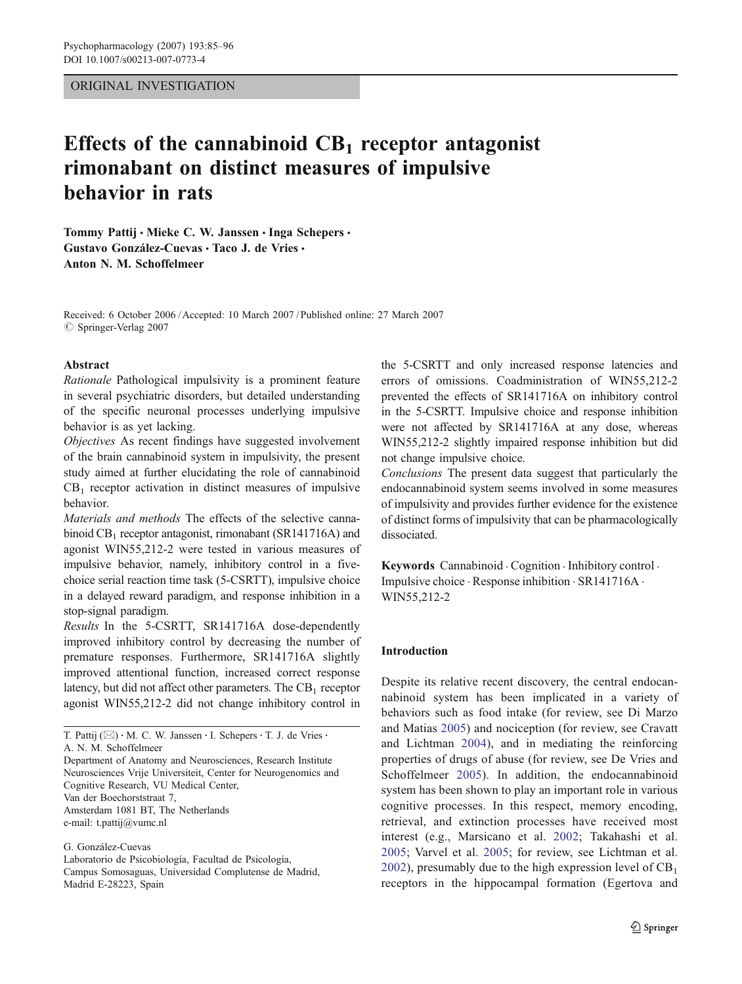### ORIGINAL INVESTIGATION

# Effects of the cannabinoid  $CB_1$  receptor antagonist rimonabant on distinct measures of impulsive behavior in rats

Tommy Pattij · Mieke C. W. Janssen · Inga Schepers · Gustavo González-Cuevas · Taco J. de Vries · Anton N. M. Schoffelmeer

Received: 6 October 2006 /Accepted: 10 March 2007 / Published online: 27 March 2007  $\oslash$  Springer-Verlag 2007

## Abstract

Rationale Pathological impulsivity is a prominent feature in several psychiatric disorders, but detailed understanding of the specific neuronal processes underlying impulsive behavior is as yet lacking.

Objectives As recent findings have suggested involvement of the brain cannabinoid system in impulsivity, the present study aimed at further elucidating the role of cannabinoid  $CB<sub>1</sub>$  receptor activation in distinct measures of impulsive behavior.

Materials and methods The effects of the selective cannabinoid  $CB_1$  receptor antagonist, rimonabant (SR141716A) and agonist WIN55,212-2 were tested in various measures of impulsive behavior, namely, inhibitory control in a fivechoice serial reaction time task (5-CSRTT), impulsive choice in a delayed reward paradigm, and response inhibition in a stop-signal paradigm.

Results In the 5-CSRTT, SR141716A dose-dependently improved inhibitory control by decreasing the number of premature responses. Furthermore, SR141716A slightly improved attentional function, increased correct response latency, but did not affect other parameters. The  $CB_1$  receptor agonist WIN55,212-2 did not change inhibitory control in

Department of Anatomy and Neurosciences, Research Institute Neurosciences Vrije Universiteit, Center for Neurogenomics and Cognitive Research, VU Medical Center, Van der Boechorststraat 7, Amsterdam 1081 BT, The Netherlands e-mail: t.pattij@vumc.nl

G. González-Cuevas Laboratorio de Psicobiología, Facultad de Psicología, Campus Somosaguas, Universidad Complutense de Madrid, Madrid E-28223, Spain

the 5-CSRTT and only increased response latencies and errors of omissions. Coadministration of WIN55,212-2 prevented the effects of SR141716A on inhibitory control in the 5-CSRTT. Impulsive choice and response inhibition were not affected by SR141716A at any dose, whereas WIN55,212-2 slightly impaired response inhibition but did not change impulsive choice.

Conclusions The present data suggest that particularly the endocannabinoid system seems involved in some measures of impulsivity and provides further evidence for the existence of distinct forms of impulsivity that can be pharmacologically dissociated.

Keywords Cannabinoid . Cognition . Inhibitory control . Impulsive choice . Response inhibition . SR141716A . WIN55,212-2

# Introduction

Despite its relative recent discovery, the central endocannabinoid system has been implicated in a variety of behaviors such as food intake (for review, see Di Marzo and Matias [2005](#page-10-0)) and nociception (for review, see Cravatt and Lichtman [2004\)](#page-10-0), and in mediating the reinforcing properties of drugs of abuse (for review, see De Vries and Schoffelmeer [2005](#page-10-0)). In addition, the endocannabinoid system has been shown to play an important role in various cognitive processes. In this respect, memory encoding, retrieval, and extinction processes have received most interest (e.g., Marsicano et al. [2002;](#page-11-0) Takahashi et al. [2005](#page-11-0); Varvel et al. [2005;](#page-11-0) for review, see Lichtman et al. [2002](#page-11-0)), presumably due to the high expression level of  $CB<sub>1</sub>$ receptors in the hippocampal formation (Egertova and

T. Pattij ( $\boxtimes$ ) · M. C. W. Janssen · I. Schepers · T. J. de Vries · A. N. M. Schoffelmeer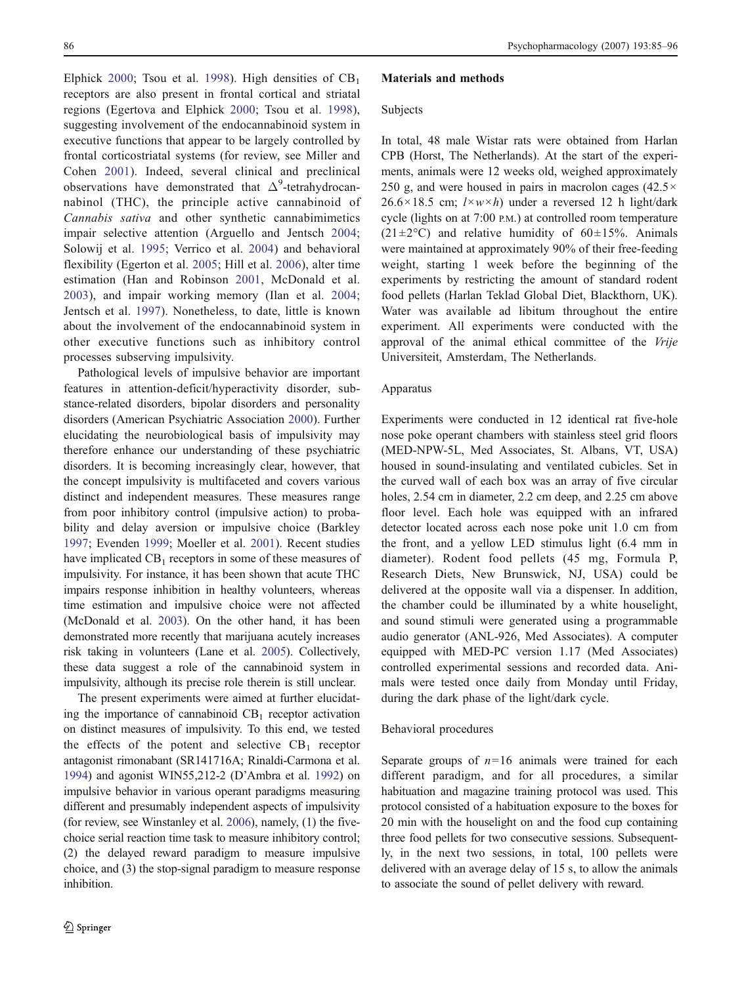Elphick [2000](#page-10-0); Tsou et al. [1998](#page-11-0)). High densities of  $CB_1$ receptors are also present in frontal cortical and striatal regions (Egertova and Elphick [2000](#page-10-0); Tsou et al. [1998](#page-11-0)), suggesting involvement of the endocannabinoid system in executive functions that appear to be largely controlled by frontal corticostriatal systems (for review, see Miller and Cohen [2001\)](#page-11-0). Indeed, several clinical and preclinical observations have demonstrated that  $\Delta^9$ -tetrahydrocannabinol (THC), the principle active cannabinoid of Cannabis sativa and other synthetic cannabimimetics impair selective attention (Arguello and Jentsch [2004](#page-10-0); Solowij et al. [1995;](#page-11-0) Verrico et al. [2004](#page-11-0)) and behavioral flexibility (Egerton et al. [2005;](#page-10-0) Hill et al. [2006](#page-10-0)), alter time estimation (Han and Robinson [2001](#page-10-0), McDonald et al. [2003](#page-11-0)), and impair working memory (Ilan et al. [2004](#page-10-0); Jentsch et al. [1997](#page-10-0)). Nonetheless, to date, little is known about the involvement of the endocannabinoid system in other executive functions such as inhibitory control processes subserving impulsivity.

Pathological levels of impulsive behavior are important features in attention-deficit/hyperactivity disorder, substance-related disorders, bipolar disorders and personality disorders (American Psychiatric Association [2000](#page-10-0)). Further elucidating the neurobiological basis of impulsivity may therefore enhance our understanding of these psychiatric disorders. It is becoming increasingly clear, however, that the concept impulsivity is multifaceted and covers various distinct and independent measures. These measures range from poor inhibitory control (impulsive action) to probability and delay aversion or impulsive choice (Barkley [1997;](#page-10-0) Evenden [1999;](#page-10-0) Moeller et al. [2001](#page-11-0)). Recent studies have implicated  $CB_1$  receptors in some of these measures of impulsivity. For instance, it has been shown that acute THC impairs response inhibition in healthy volunteers, whereas time estimation and impulsive choice were not affected (McDonald et al. [2003\)](#page-11-0). On the other hand, it has been demonstrated more recently that marijuana acutely increases risk taking in volunteers (Lane et al. [2005\)](#page-10-0). Collectively, these data suggest a role of the cannabinoid system in impulsivity, although its precise role therein is still unclear.

The present experiments were aimed at further elucidating the importance of cannabinoid  $CB_1$  receptor activation on distinct measures of impulsivity. To this end, we tested the effects of the potent and selective  $CB_1$  receptor antagonist rimonabant (SR141716A; Rinaldi-Carmona et al. [1994\)](#page-11-0) and agonist WIN55,212-2 (D'Ambra et al. [1992](#page-10-0)) on impulsive behavior in various operant paradigms measuring different and presumably independent aspects of impulsivity (for review, see Winstanley et al. [2006](#page-11-0)), namely, (1) the fivechoice serial reaction time task to measure inhibitory control; (2) the delayed reward paradigm to measure impulsive choice, and (3) the stop-signal paradigm to measure response inhibition.

#### Materials and methods

#### Subjects

In total, 48 male Wistar rats were obtained from Harlan CPB (Horst, The Netherlands). At the start of the experiments, animals were 12 weeks old, weighed approximately 250 g, and were housed in pairs in macrolon cages  $(42.5 \times$  $26.6 \times 18.5$  cm;  $l \times w \times h$ ) under a reversed 12 h light/dark cycle (lights on at 7:00 P.M.) at controlled room temperature  $(21\pm2\degree C)$  and relative humidity of 60 $\pm15\%$ . Animals were maintained at approximately 90% of their free-feeding weight, starting 1 week before the beginning of the experiments by restricting the amount of standard rodent food pellets (Harlan Teklad Global Diet, Blackthorn, UK). Water was available ad libitum throughout the entire experiment. All experiments were conducted with the approval of the animal ethical committee of the Vrije Universiteit, Amsterdam, The Netherlands.

#### Apparatus

Experiments were conducted in 12 identical rat five-hole nose poke operant chambers with stainless steel grid floors (MED-NPW-5L, Med Associates, St. Albans, VT, USA) housed in sound-insulating and ventilated cubicles. Set in the curved wall of each box was an array of five circular holes, 2.54 cm in diameter, 2.2 cm deep, and 2.25 cm above floor level. Each hole was equipped with an infrared detector located across each nose poke unit 1.0 cm from the front, and a yellow LED stimulus light (6.4 mm in diameter). Rodent food pellets (45 mg, Formula P, Research Diets, New Brunswick, NJ, USA) could be delivered at the opposite wall via a dispenser. In addition, the chamber could be illuminated by a white houselight, and sound stimuli were generated using a programmable audio generator (ANL-926, Med Associates). A computer equipped with MED-PC version 1.17 (Med Associates) controlled experimental sessions and recorded data. Animals were tested once daily from Monday until Friday, during the dark phase of the light/dark cycle.

### Behavioral procedures

Separate groups of  $n=16$  animals were trained for each different paradigm, and for all procedures, a similar habituation and magazine training protocol was used. This protocol consisted of a habituation exposure to the boxes for 20 min with the houselight on and the food cup containing three food pellets for two consecutive sessions. Subsequently, in the next two sessions, in total, 100 pellets were delivered with an average delay of 15 s, to allow the animals to associate the sound of pellet delivery with reward.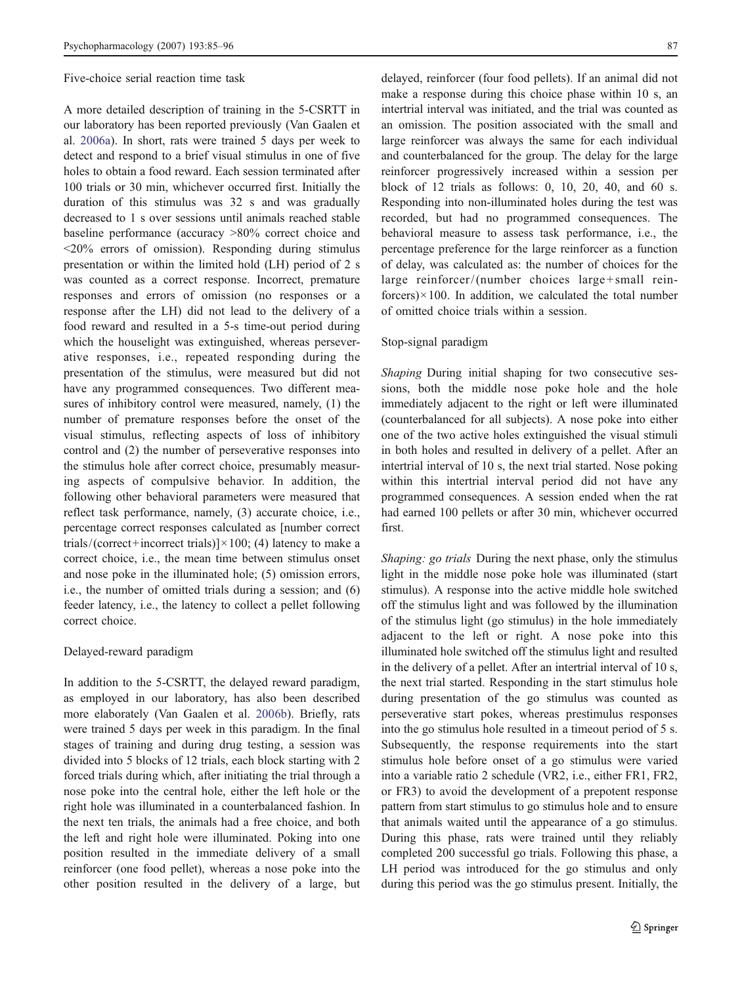Five-choice serial reaction time task

A more detailed description of training in the 5-CSRTT in our laboratory has been reported previously (Van Gaalen et al. [2006a\)](#page-11-0). In short, rats were trained 5 days per week to detect and respond to a brief visual stimulus in one of five holes to obtain a food reward. Each session terminated after 100 trials or 30 min, whichever occurred first. Initially the duration of this stimulus was 32 s and was gradually decreased to 1 s over sessions until animals reached stable baseline performance (accuracy >80% correct choice and <20% errors of omission). Responding during stimulus presentation or within the limited hold (LH) period of 2 s was counted as a correct response. Incorrect, premature responses and errors of omission (no responses or a response after the LH) did not lead to the delivery of a food reward and resulted in a 5-s time-out period during which the houselight was extinguished, whereas perseverative responses, i.e., repeated responding during the presentation of the stimulus, were measured but did not have any programmed consequences. Two different measures of inhibitory control were measured, namely, (1) the number of premature responses before the onset of the visual stimulus, reflecting aspects of loss of inhibitory control and (2) the number of perseverative responses into the stimulus hole after correct choice, presumably measuring aspects of compulsive behavior. In addition, the following other behavioral parameters were measured that reflect task performance, namely, (3) accurate choice, i.e., percentage correct responses calculated as [number correct trials/(correct+incorrect trials)] $\times$ 100; (4) latency to make a correct choice, i.e., the mean time between stimulus onset and nose poke in the illuminated hole; (5) omission errors, i.e., the number of omitted trials during a session; and (6) feeder latency, i.e., the latency to collect a pellet following correct choice.

### Delayed-reward paradigm

In addition to the 5-CSRTT, the delayed reward paradigm, as employed in our laboratory, has also been described more elaborately (Van Gaalen et al. [2006b\)](#page-11-0). Briefly, rats were trained 5 days per week in this paradigm. In the final stages of training and during drug testing, a session was divided into 5 blocks of 12 trials, each block starting with 2 forced trials during which, after initiating the trial through a nose poke into the central hole, either the left hole or the right hole was illuminated in a counterbalanced fashion. In the next ten trials, the animals had a free choice, and both the left and right hole were illuminated. Poking into one position resulted in the immediate delivery of a small reinforcer (one food pellet), whereas a nose poke into the other position resulted in the delivery of a large, but

delayed, reinforcer (four food pellets). If an animal did not make a response during this choice phase within 10 s, an intertrial interval was initiated, and the trial was counted as an omission. The position associated with the small and large reinforcer was always the same for each individual and counterbalanced for the group. The delay for the large reinforcer progressively increased within a session per block of 12 trials as follows: 0, 10, 20, 40, and 60 s. Responding into non-illuminated holes during the test was recorded, but had no programmed consequences. The behavioral measure to assess task performance, i.e., the percentage preference for the large reinforcer as a function of delay, was calculated as: the number of choices for the large reinforcer/ (number choices large+small reinforcers) $\times$ 100. In addition, we calculated the total number of omitted choice trials within a session.

## Stop-signal paradigm

Shaping During initial shaping for two consecutive sessions, both the middle nose poke hole and the hole immediately adjacent to the right or left were illuminated (counterbalanced for all subjects). A nose poke into either one of the two active holes extinguished the visual stimuli in both holes and resulted in delivery of a pellet. After an intertrial interval of 10 s, the next trial started. Nose poking within this intertrial interval period did not have any programmed consequences. A session ended when the rat had earned 100 pellets or after 30 min, whichever occurred first.

Shaping: go trials During the next phase, only the stimulus light in the middle nose poke hole was illuminated (start stimulus). A response into the active middle hole switched off the stimulus light and was followed by the illumination of the stimulus light (go stimulus) in the hole immediately adjacent to the left or right. A nose poke into this illuminated hole switched off the stimulus light and resulted in the delivery of a pellet. After an intertrial interval of 10 s, the next trial started. Responding in the start stimulus hole during presentation of the go stimulus was counted as perseverative start pokes, whereas prestimulus responses into the go stimulus hole resulted in a timeout period of 5 s. Subsequently, the response requirements into the start stimulus hole before onset of a go stimulus were varied into a variable ratio 2 schedule (VR2, i.e., either FR1, FR2, or FR3) to avoid the development of a prepotent response pattern from start stimulus to go stimulus hole and to ensure that animals waited until the appearance of a go stimulus. During this phase, rats were trained until they reliably completed 200 successful go trials. Following this phase, a LH period was introduced for the go stimulus and only during this period was the go stimulus present. Initially, the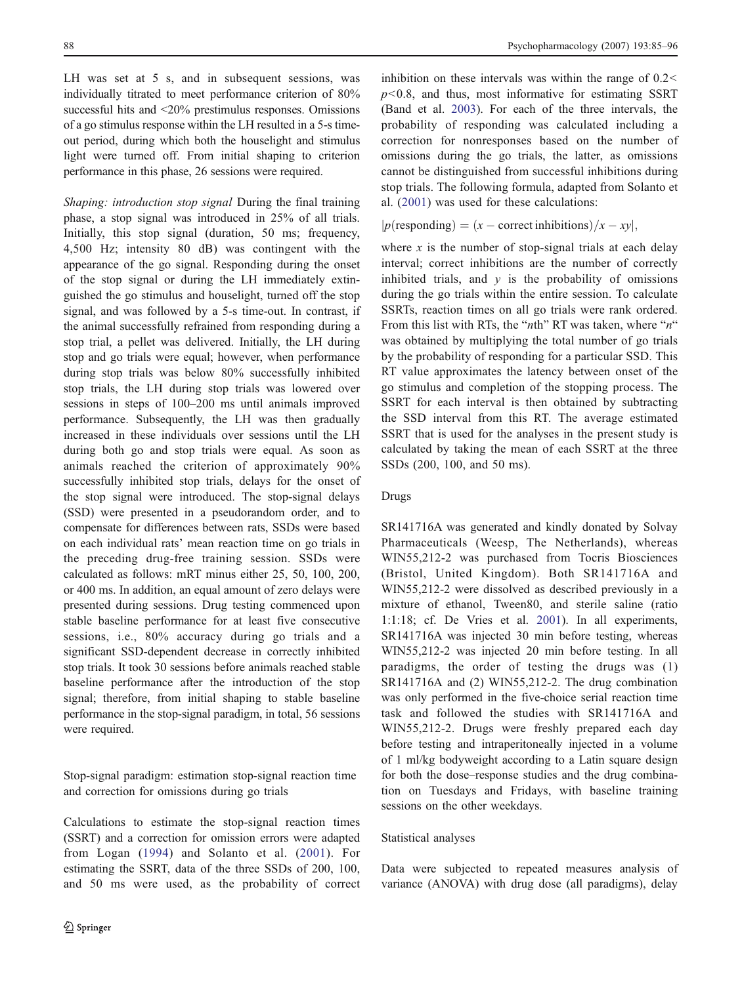LH was set at 5 s, and in subsequent sessions, was individually titrated to meet performance criterion of 80% successful hits and <20% prestimulus responses. Omissions of a go stimulus response within the LH resulted in a 5-s timeout period, during which both the houselight and stimulus light were turned off. From initial shaping to criterion performance in this phase, 26 sessions were required.

Shaping: introduction stop signal During the final training phase, a stop signal was introduced in 25% of all trials. Initially, this stop signal (duration, 50 ms; frequency, 4,500 Hz; intensity 80 dB) was contingent with the appearance of the go signal. Responding during the onset of the stop signal or during the LH immediately extinguished the go stimulus and houselight, turned off the stop signal, and was followed by a 5-s time-out. In contrast, if the animal successfully refrained from responding during a stop trial, a pellet was delivered. Initially, the LH during stop and go trials were equal; however, when performance during stop trials was below 80% successfully inhibited stop trials, the LH during stop trials was lowered over sessions in steps of 100–200 ms until animals improved performance. Subsequently, the LH was then gradually increased in these individuals over sessions until the LH during both go and stop trials were equal. As soon as animals reached the criterion of approximately 90% successfully inhibited stop trials, delays for the onset of the stop signal were introduced. The stop-signal delays (SSD) were presented in a pseudorandom order, and to compensate for differences between rats, SSDs were based on each individual rats' mean reaction time on go trials in the preceding drug-free training session. SSDs were calculated as follows: mRT minus either 25, 50, 100, 200, or 400 ms. In addition, an equal amount of zero delays were presented during sessions. Drug testing commenced upon stable baseline performance for at least five consecutive sessions, i.e., 80% accuracy during go trials and a significant SSD-dependent decrease in correctly inhibited stop trials. It took 30 sessions before animals reached stable baseline performance after the introduction of the stop signal; therefore, from initial shaping to stable baseline performance in the stop-signal paradigm, in total, 56 sessions were required.

Stop-signal paradigm: estimation stop-signal reaction time and correction for omissions during go trials

Calculations to estimate the stop-signal reaction times (SSRT) and a correction for omission errors were adapted from Logan ([1994\)](#page-11-0) and Solanto et al. ([2001](#page-11-0)). For estimating the SSRT, data of the three SSDs of 200, 100, and 50 ms were used, as the probability of correct inhibition on these intervals was within the range of 0.2<  $p$ <0.8, and thus, most informative for estimating SSRT (Band et al. [2003](#page-10-0)). For each of the three intervals, the probability of responding was calculated including a correction for nonresponses based on the number of omissions during the go trials, the latter, as omissions cannot be distinguished from successful inhibitions during stop trials. The following formula, adapted from Solanto et al. ([2001\)](#page-11-0) was used for these calculations:

## $p$ (responding) =  $(x -$  correct inhibitions)  $/x - xy$ ,

where x is the number of stop-signal trials at each delay interval; correct inhibitions are the number of correctly inhibited trials, and  $y$  is the probability of omissions during the go trials within the entire session. To calculate SSRTs, reaction times on all go trials were rank ordered. From this list with RTs, the "nth" RT was taken, where "n" was obtained by multiplying the total number of go trials by the probability of responding for a particular SSD. This RT value approximates the latency between onset of the go stimulus and completion of the stopping process. The SSRT for each interval is then obtained by subtracting the SSD interval from this RT. The average estimated SSRT that is used for the analyses in the present study is calculated by taking the mean of each SSRT at the three SSDs (200, 100, and 50 ms).

## Drugs

SR141716A was generated and kindly donated by Solvay Pharmaceuticals (Weesp, The Netherlands), whereas WIN55,212-2 was purchased from Tocris Biosciences (Bristol, United Kingdom). Both SR141716A and WIN55,212-2 were dissolved as described previously in a mixture of ethanol, Tween80, and sterile saline (ratio 1:1:18; cf. De Vries et al. [2001\)](#page-10-0). In all experiments, SR141716A was injected 30 min before testing, whereas WIN55,212-2 was injected 20 min before testing. In all paradigms, the order of testing the drugs was (1) SR141716A and (2) WIN55,212-2. The drug combination was only performed in the five-choice serial reaction time task and followed the studies with SR141716A and WIN55,212-2. Drugs were freshly prepared each day before testing and intraperitoneally injected in a volume of 1 ml/kg bodyweight according to a Latin square design for both the dose–response studies and the drug combination on Tuesdays and Fridays, with baseline training sessions on the other weekdays.

## Statistical analyses

Data were subjected to repeated measures analysis of variance (ANOVA) with drug dose (all paradigms), delay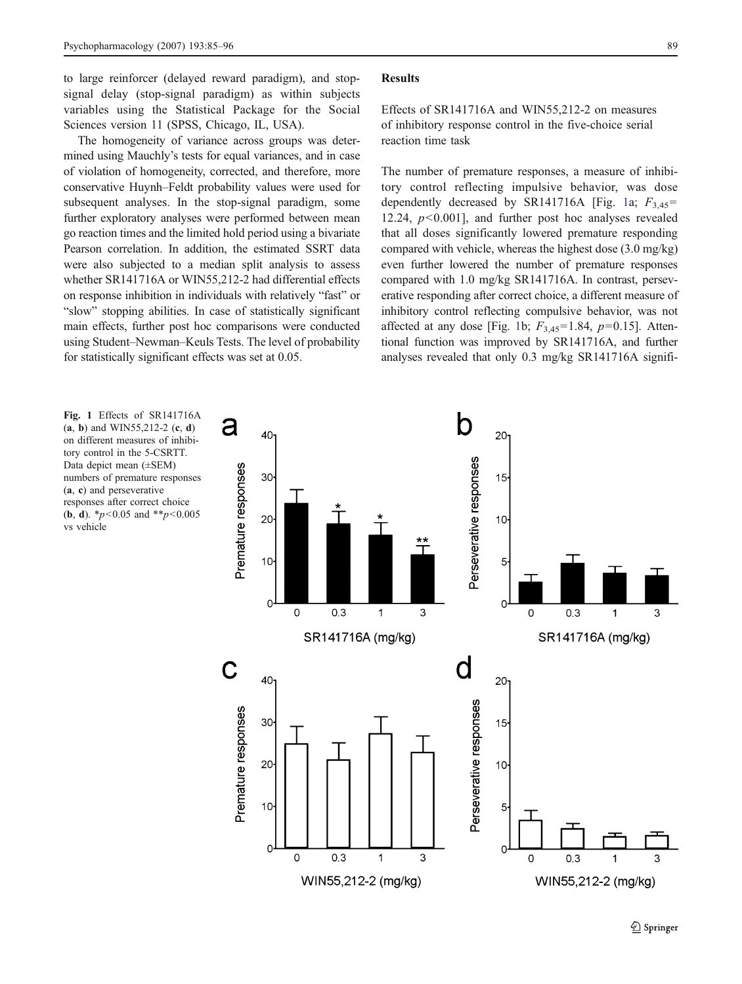<span id="page-4-0"></span>to large reinforcer (delayed reward paradigm), and stopsignal delay (stop-signal paradigm) as within subjects variables using the Statistical Package for the Social Sciences version 11 (SPSS, Chicago, IL, USA).

The homogeneity of variance across groups was determined using Mauchly's tests for equal variances, and in case of violation of homogeneity, corrected, and therefore, more conservative Huynh–Feldt probability values were used for subsequent analyses. In the stop-signal paradigm, some further exploratory analyses were performed between mean go reaction times and the limited hold period using a bivariate Pearson correlation. In addition, the estimated SSRT data were also subjected to a median split analysis to assess whether SR141716A or WIN55,212-2 had differential effects on response inhibition in individuals with relatively "fast" or "slow" stopping abilities. In case of statistically significant main effects, further post hoc comparisons were conducted using Student–Newman–Keuls Tests. The level of probability for statistically significant effects was set at 0.05.

#### Results

Effects of SR141716A and WIN55,212-2 on measures of inhibitory response control in the five-choice serial reaction time task

The number of premature responses, a measure of inhibitory control reflecting impulsive behavior, was dose dependently decreased by SR141716A [Fig. 1a;  $F_{3,45}$ = 12.24,  $p<0.001$ ], and further post hoc analyses revealed that all doses significantly lowered premature responding compared with vehicle, whereas the highest dose (3.0 mg/kg) even further lowered the number of premature responses compared with 1.0 mg/kg SR141716A. In contrast, perseverative responding after correct choice, a different measure of inhibitory control reflecting compulsive behavior, was not affected at any dose [Fig. 1b;  $F_{3,45}=1.84$ ,  $p=0.15$ ]. Attentional function was improved by SR141716A, and further analyses revealed that only 0.3 mg/kg SR141716A signifi-

Fig. 1 Effects of SR141716A  $(a, b)$  and WIN55,212-2  $(c, d)$ on different measures of inhibitory control in the 5-CSRTT. Data depict mean (±SEM) numbers of premature responses (a, c) and perseverative responses after correct choice (**b**, **d**). \* $p < 0.05$  and \*\* $p < 0.005$ vs vehicle

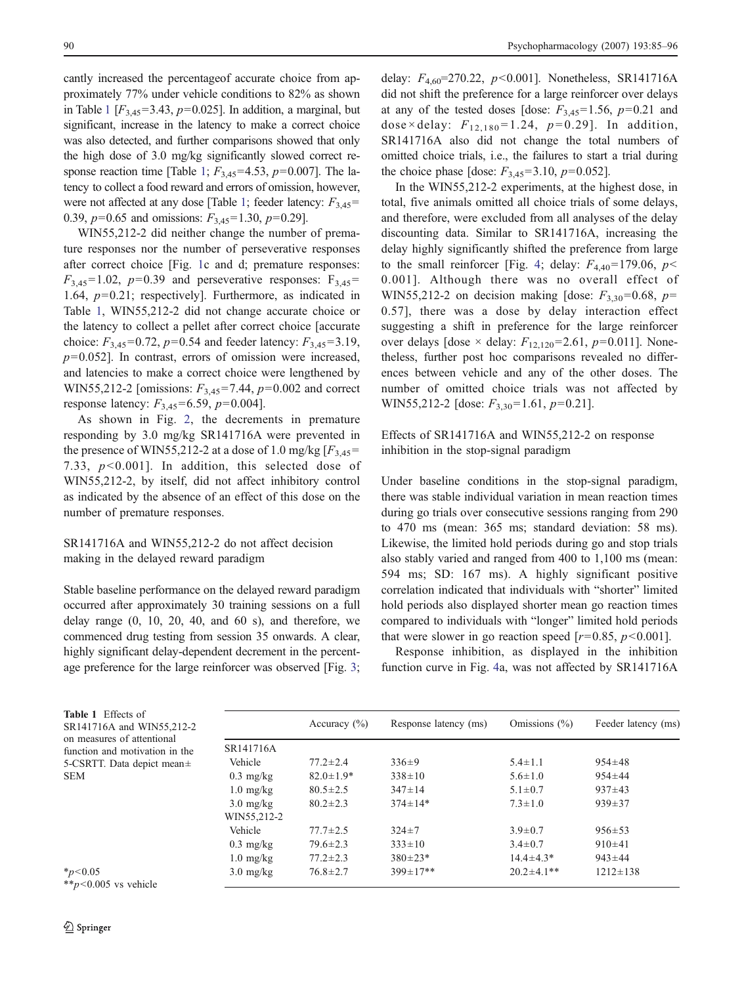<span id="page-5-0"></span>cantly increased the percentageof accurate choice from approximately 77% under vehicle conditions to 82% as shown in Table 1  $[F_{3,45} = 3.43, p=0.025]$ . In addition, a marginal, but significant, increase in the latency to make a correct choice was also detected, and further comparisons showed that only the high dose of 3.0 mg/kg significantly slowed correct response reaction time [Table 1;  $F_{3,45}$ =4.53, p=0.007]. The latency to collect a food reward and errors of omission, however, were not affected at any dose [Table 1; feeder latency:  $F_{3.45}$ = 0.39,  $p=0.65$  and omissions:  $F_{3,45}=1.30$ ,  $p=0.29$ ].

WIN55,212-2 did neither change the number of premature responses nor the number of perseverative responses after correct choice [Fig. [1c](#page-4-0) and d; premature responses:  $F_{3,45}=1.02$ ,  $p=0.39$  and perseverative responses:  $F_{3,45}=$ 1.64,  $p=0.21$ ; respectively]. Furthermore, as indicated in Table 1, WIN55,212-2 did not change accurate choice or the latency to collect a pellet after correct choice [accurate choice:  $F_{3,45}$ =0.72,  $p$ =0.54 and feeder latency:  $F_{3,45}$ =3.19,  $p=0.052$ ]. In contrast, errors of omission were increased, and latencies to make a correct choice were lengthened by WIN55,212-2 [omissions:  $F_{3,45} = 7.44$ ,  $p=0.002$  and correct response latency:  $F_{3,45}$ =6.59,  $p$ =0.004].

As shown in Fig. [2](#page-6-0), the decrements in premature responding by 3.0 mg/kg SR141716A were prevented in the presence of WIN55,212-2 at a dose of 1.0 mg/kg  $[F_{3,45}$ = 7.33,  $p<0.001$ ]. In addition, this selected dose of WIN55,212-2, by itself, did not affect inhibitory control as indicated by the absence of an effect of this dose on the number of premature responses.

## SR141716A and WIN55,212-2 do not affect decision making in the delayed reward paradigm

Stable baseline performance on the delayed reward paradigm occurred after approximately 30 training sessions on a full delay range  $(0, 10, 20, 40,$  and  $60$  s), and therefore, we commenced drug testing from session 35 onwards. A clear, highly significant delay-dependent decrement in the percent-age preference for the large reinforcer was observed [Fig. [3](#page-6-0); delay:  $F_{4,60}$ =270.22,  $p$ <0.001]. Nonetheless, SR141716A did not shift the preference for a large reinforcer over delays at any of the tested doses [dose:  $F_{3,45}$ =1.56,  $p$ =0.21 and dose×delay:  $F_{12,180} = 1.24$ ,  $p = 0.29$ ]. In addition, SR141716A also did not change the total numbers of omitted choice trials, i.e., the failures to start a trial during the choice phase [dose:  $F_{3,45}$ =3.10,  $p$ =0.052].

In the WIN55,212-2 experiments, at the highest dose, in total, five animals omitted all choice trials of some delays, and therefore, were excluded from all analyses of the delay discounting data. Similar to SR141716A, increasing the delay highly significantly shifted the preference from large to the small reinforcer [Fig. [4](#page-7-0); delay:  $F_{4,40}$ =179.06,  $p$  < 0.001]. Although there was no overall effect of WIN55,212-2 on decision making [dose:  $F_{3,30}$ =0.68,  $p=$ 0.57], there was a dose by delay interaction effect suggesting a shift in preference for the large reinforcer over delays [dose  $\times$  delay:  $F_{12,120}$ =2.61,  $p$ =0.011]. Nonetheless, further post hoc comparisons revealed no differences between vehicle and any of the other doses. The number of omitted choice trials was not affected by WIN55,212-2 [dose:  $F_{3,30}$ =1.61, p=0.21].

## Effects of SR141716A and WIN55,212-2 on response inhibition in the stop-signal paradigm

Under baseline conditions in the stop-signal paradigm, there was stable individual variation in mean reaction times during go trials over consecutive sessions ranging from 290 to 470 ms (mean: 365 ms; standard deviation: 58 ms). Likewise, the limited hold periods during go and stop trials also stably varied and ranged from 400 to 1,100 ms (mean: 594 ms; SD: 167 ms). A highly significant positive correlation indicated that individuals with "shorter" limited hold periods also displayed shorter mean go reaction times compared to individuals with "longer" limited hold periods that were slower in go reaction speed  $[r=0.85, p<0.001]$ .

Response inhibition, as displayed in the inhibition function curve in Fig. [4](#page-7-0)a, was not affected by SR141716A

| Table 1 Effects of<br>SR141716A and WIN55,212-2              |                     | Accuracy $(\% )$ | Response latency (ms) | Omissions $(\%)$  | Feeder latency (ms) |
|--------------------------------------------------------------|---------------------|------------------|-----------------------|-------------------|---------------------|
| on measures of attentional<br>function and motivation in the | SR141716A           |                  |                       |                   |                     |
| 5-CSRTT. Data depict mean±                                   | Vehicle             | $77.2 \pm 2.4$   | $336 \pm 9$           | $5.4 \pm 1.1$     | $954 \pm 48$        |
| SEM                                                          | $0.3 \text{ mg/kg}$ | $82.0 \pm 1.9*$  | $338 \pm 10$          | $5.6 \pm 1.0$     | $954 \pm 44$        |
|                                                              | $1.0 \text{ mg/kg}$ | $80.5 \pm 2.5$   | $347 \pm 14$          | $5.1 \pm 0.7$     | $937 \pm 43$        |
|                                                              | $3.0 \text{ mg/kg}$ | $80.2 \pm 2.3$   | $374 \pm 14*$         | $7.3 \pm 1.0$     | $939 \pm 37$        |
|                                                              | WIN55,212-2         |                  |                       |                   |                     |
|                                                              | Vehicle             | $77.7 \pm 2.5$   | $324 \pm 7$           | $3.9 \pm 0.7$     | $956 \pm 53$        |
|                                                              | $0.3 \text{ mg/kg}$ | $79.6 \pm 2.3$   | $333 \pm 10$          | $3.4 \pm 0.7$     | $910\pm41$          |
|                                                              | $1.0 \text{ mg/kg}$ | $77.2 \pm 2.3$   | $380 \pm 23*$         | $14.4 \pm 4.3*$   | $943 \pm 44$        |
| $*_{p<0.05}$<br>$*p<0.005$ vs vehicle                        | $3.0 \text{ mg/kg}$ | $76.8 \pm 2.7$   | $399 \pm 17**$        | $20.2 \pm 4.1$ ** | $1212 \pm 138$      |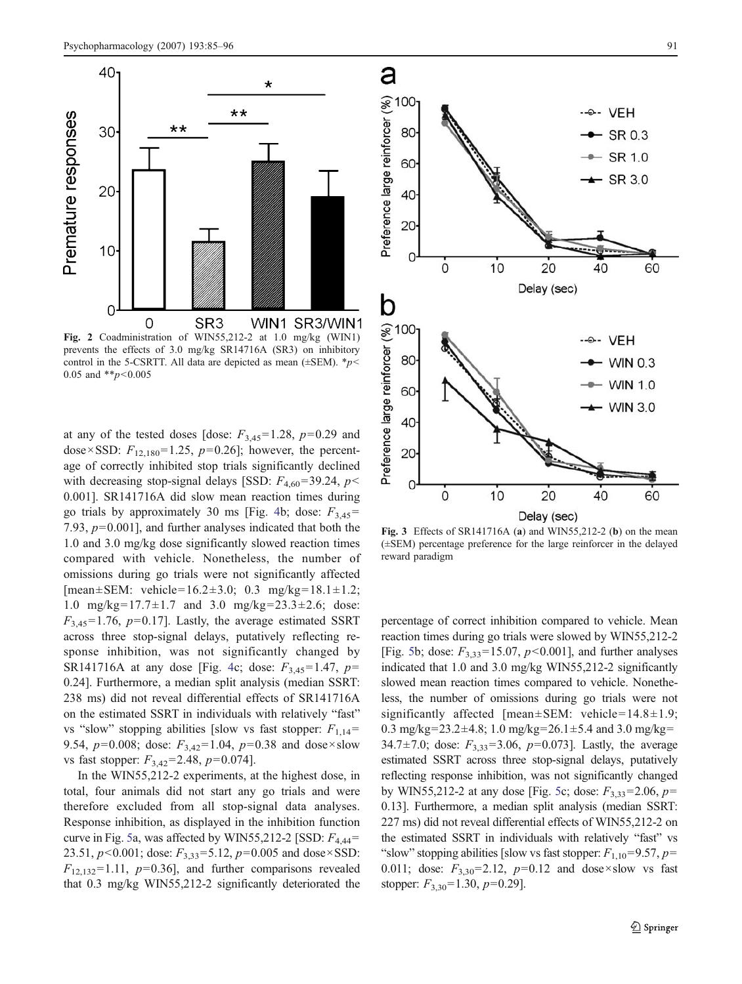<span id="page-6-0"></span>

Fig. 2 Coadministration of WIN55,212-2 at 1.0 mg/kg (WIN1) prevents the effects of 3.0 mg/kg SR14716A (SR3) on inhibitory control in the 5-CSRTT. All data are depicted as mean ( $\pm$ SEM).  $*p$ < 0.05 and  $*p<0.005$ 

at any of the tested doses [dose:  $F_{3,45}=1.28$ ,  $p=0.29$  and dose×SSD:  $F_{12,180}$ =1.25,  $p=0.26$ ]; however, the percentage of correctly inhibited stop trials significantly declined with decreasing stop-signal delays [SSD:  $F_{4,60}$ =39.24, p< 0.001]. SR141716A did slow mean reaction times during go trials by approximately 30 ms [Fig. [4](#page-7-0)b; dose:  $F_{3,45}$ = 7.93,  $p=0.001$ ], and further analyses indicated that both the 1.0 and 3.0 mg/kg dose significantly slowed reaction times compared with vehicle. Nonetheless, the number of omissions during go trials were not significantly affected  $[mean \pm SEM: vehicle = 16.2 \pm 3.0; 0.3 mg/kg = 18.1 \pm 1.2;$ 1.0 mg/kg=17.7 $\pm$ 1.7 and 3.0 mg/kg=23.3 $\pm$ 2.6; dose:  $F_{3,45}=1.76$ ,  $p=0.17$ ]. Lastly, the average estimated SSRT across three stop-signal delays, putatively reflecting response inhibition, was not significantly changed by SR141716A at any dose [Fig. [4c](#page-7-0); dose:  $F_{3,45}$ =1.47,  $p=$ 0.24]. Furthermore, a median split analysis (median SSRT: 238 ms) did not reveal differential effects of SR141716A on the estimated SSRT in individuals with relatively "fast" vs "slow" stopping abilities [slow vs fast stopper:  $F_{1,14}$ = 9.54,  $p=0.008$ ; dose:  $F_{3,42}=1.04$ ,  $p=0.38$  and dose×slow vs fast stopper:  $F_{3,42}$ =2.48,  $p$ =0.074].

In the WIN55,212-2 experiments, at the highest dose, in total, four animals did not start any go trials and were therefore excluded from all stop-signal data analyses. Response inhibition, as displayed in the inhibition function curve in Fig. [5a](#page-8-0), was affected by WIN55,212-2 [SSD:  $F_{4,44}$ = 23.51,  $p < 0.001$ ; dose:  $F_{3,33} = 5.12$ ,  $p = 0.005$  and dose × SSD:  $F_{12,132}=1.11$ ,  $p=0.36$ ], and further comparisons revealed that 0.3 mg/kg WIN55,212-2 significantly deteriorated the



Fig. 3 Effects of SR141716A (a) and WIN55,212-2 (b) on the mean (±SEM) percentage preference for the large reinforcer in the delayed reward paradigm

percentage of correct inhibition compared to vehicle. Mean reaction times during go trials were slowed by WIN55,212-2 [Fig. [5b](#page-8-0); dose:  $F_{3,33}$ =15.07,  $p$ <0.001], and further analyses indicated that 1.0 and 3.0 mg/kg WIN55,212-2 significantly slowed mean reaction times compared to vehicle. Nonetheless, the number of omissions during go trials were not significantly affected [mean $\pm$ SEM: vehicle=14.8 $\pm$ 1.9; 0.3 mg/kg=23.2±4.8; 1.0 mg/kg=26.1±5.4 and 3.0 mg/kg= 34.7±7.0; dose:  $F_{3,33}$ =3.06, p=0.073]. Lastly, the average estimated SSRT across three stop-signal delays, putatively reflecting response inhibition, was not significantly changed by WIN55,212-2 at any dose [Fig. [5c](#page-8-0); dose:  $F_{3,33}$ =2.06,  $p=$ 0.13]. Furthermore, a median split analysis (median SSRT: 227 ms) did not reveal differential effects of WIN55,212-2 on the estimated SSRT in individuals with relatively "fast" vs "slow" stopping abilities [slow vs fast stopper:  $F_{1,10} = 9.57$ ,  $p=$ 0.011; dose:  $F_{3,30} = 2.12$ ,  $p=0.12$  and dose×slow vs fast stopper:  $F_{3,30}$ =1.30,  $p$ =0.29].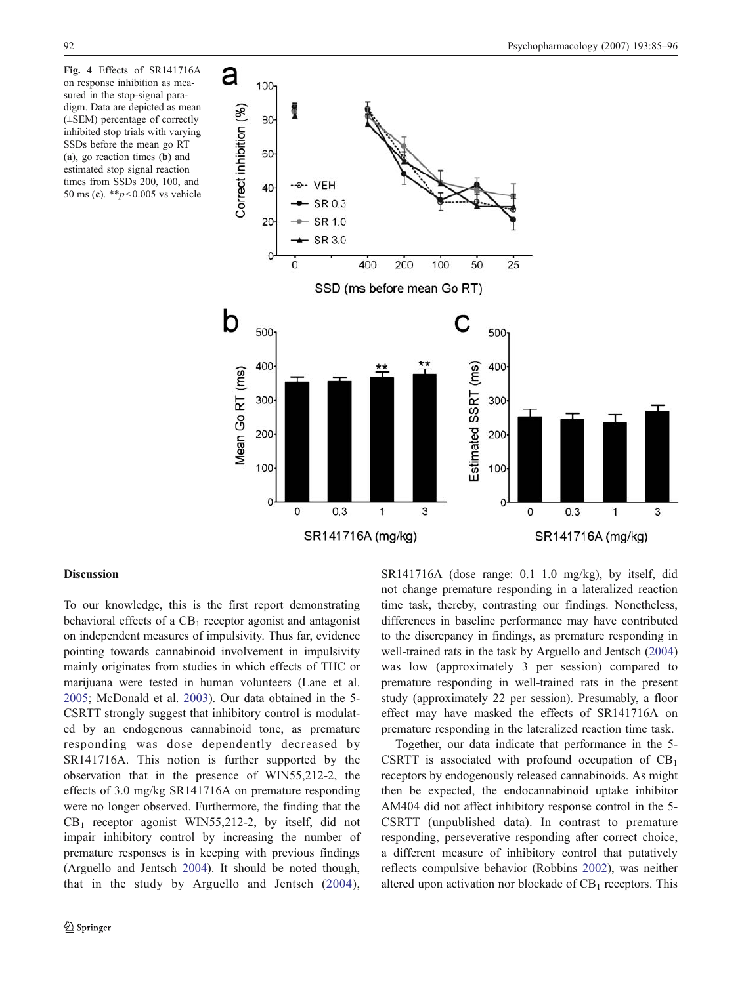<span id="page-7-0"></span>Fig. 4 Effects of SR141716A on response inhibition as measured in the stop-signal paradigm. Data are depicted as mean (±SEM) percentage of correctly inhibited stop trials with varying SSDs before the mean go RT (a), go reaction times (b) and estimated stop signal reaction times from SSDs 200, 100, and 50 ms (c). \*\* $p$ <0.005 vs vehicle



#### Discussion

To our knowledge, this is the first report demonstrating behavioral effects of a  $CB<sub>1</sub>$  receptor agonist and antagonist on independent measures of impulsivity. Thus far, evidence pointing towards cannabinoid involvement in impulsivity mainly originates from studies in which effects of THC or marijuana were tested in human volunteers (Lane et al. [2005;](#page-10-0) McDonald et al. [2003](#page-11-0)). Our data obtained in the 5- CSRTT strongly suggest that inhibitory control is modulated by an endogenous cannabinoid tone, as premature responding was dose dependently decreased by SR141716A. This notion is further supported by the observation that in the presence of WIN55,212-2, the effects of 3.0 mg/kg SR141716A on premature responding were no longer observed. Furthermore, the finding that the  $CB_1$  receptor agonist WIN55,212-2, by itself, did not impair inhibitory control by increasing the number of premature responses is in keeping with previous findings (Arguello and Jentsch [2004](#page-10-0)). It should be noted though, that in the study by Arguello and Jentsch ([2004](#page-10-0)), SR141716A (dose range: 0.1–1.0 mg/kg), by itself, did not change premature responding in a lateralized reaction time task, thereby, contrasting our findings. Nonetheless, differences in baseline performance may have contributed to the discrepancy in findings, as premature responding in well-trained rats in the task by Arguello and Jentsch [\(2004](#page-10-0)) was low (approximately 3 per session) compared to premature responding in well-trained rats in the present study (approximately 22 per session). Presumably, a floor effect may have masked the effects of SR141716A on premature responding in the lateralized reaction time task.

Together, our data indicate that performance in the 5- CSRTT is associated with profound occupation of  $CB_1$ receptors by endogenously released cannabinoids. As might then be expected, the endocannabinoid uptake inhibitor AM404 did not affect inhibitory response control in the 5- CSRTT (unpublished data). In contrast to premature responding, perseverative responding after correct choice, a different measure of inhibitory control that putatively reflects compulsive behavior (Robbins [2002\)](#page-11-0), was neither altered upon activation nor blockade of  $CB_1$  receptors. This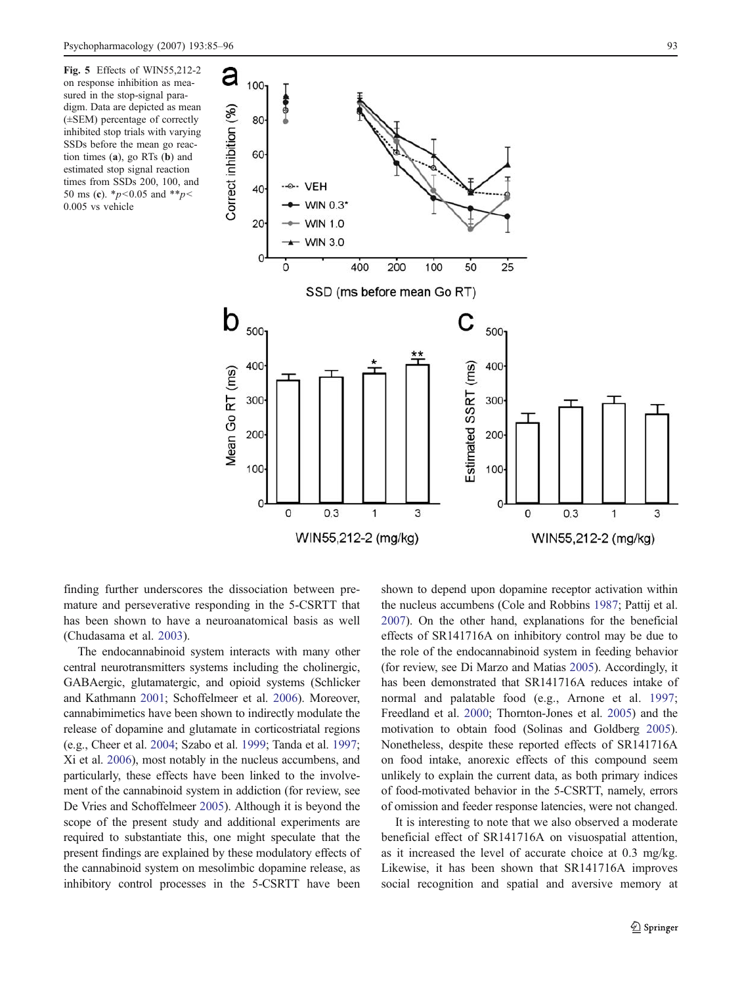<span id="page-8-0"></span>Fig. 5 Effects of WIN55,212-2 on response inhibition as measured in the stop-signal paradigm. Data are depicted as mean (±SEM) percentage of correctly inhibited stop trials with varying SSDs before the mean go reaction times (a), go RTs (b) and estimated stop signal reaction times from SSDs 200, 100, and 50 ms (c).  $\frac{p}{0.05}$  and  $\frac{p}{s}$ 0.005 vs vehicle



finding further underscores the dissociation between premature and perseverative responding in the 5-CSRTT that has been shown to have a neuroanatomical basis as well (Chudasama et al. [2003](#page-10-0)).

The endocannabinoid system interacts with many other central neurotransmitters systems including the cholinergic, GABAergic, glutamatergic, and opioid systems (Schlicker and Kathmann [2001](#page-11-0); Schoffelmeer et al. [2006](#page-11-0)). Moreover, cannabimimetics have been shown to indirectly modulate the release of dopamine and glutamate in corticostriatal regions (e.g., Cheer et al. [2004](#page-10-0); Szabo et al. [1999](#page-11-0); Tanda et al. [1997](#page-11-0); Xi et al. [2006\)](#page-11-0), most notably in the nucleus accumbens, and particularly, these effects have been linked to the involvement of the cannabinoid system in addiction (for review, see De Vries and Schoffelmeer [2005\)](#page-10-0). Although it is beyond the scope of the present study and additional experiments are required to substantiate this, one might speculate that the present findings are explained by these modulatory effects of the cannabinoid system on mesolimbic dopamine release, as inhibitory control processes in the 5-CSRTT have been

shown to depend upon dopamine receptor activation within the nucleus accumbens (Cole and Robbins [1987](#page-10-0); Pattij et al. [2007\)](#page-11-0). On the other hand, explanations for the beneficial effects of SR141716A on inhibitory control may be due to the role of the endocannabinoid system in feeding behavior (for review, see Di Marzo and Matias [2005](#page-10-0)). Accordingly, it has been demonstrated that SR141716A reduces intake of normal and palatable food (e.g., Arnone et al. [1997;](#page-10-0) Freedland et al. [2000](#page-10-0); Thornton-Jones et al. [2005](#page-11-0)) and the motivation to obtain food (Solinas and Goldberg [2005\)](#page-11-0). Nonetheless, despite these reported effects of SR141716A on food intake, anorexic effects of this compound seem unlikely to explain the current data, as both primary indices of food-motivated behavior in the 5-CSRTT, namely, errors of omission and feeder response latencies, were not changed.

It is interesting to note that we also observed a moderate beneficial effect of SR141716A on visuospatial attention, as it increased the level of accurate choice at 0.3 mg/kg. Likewise, it has been shown that SR141716A improves social recognition and spatial and aversive memory at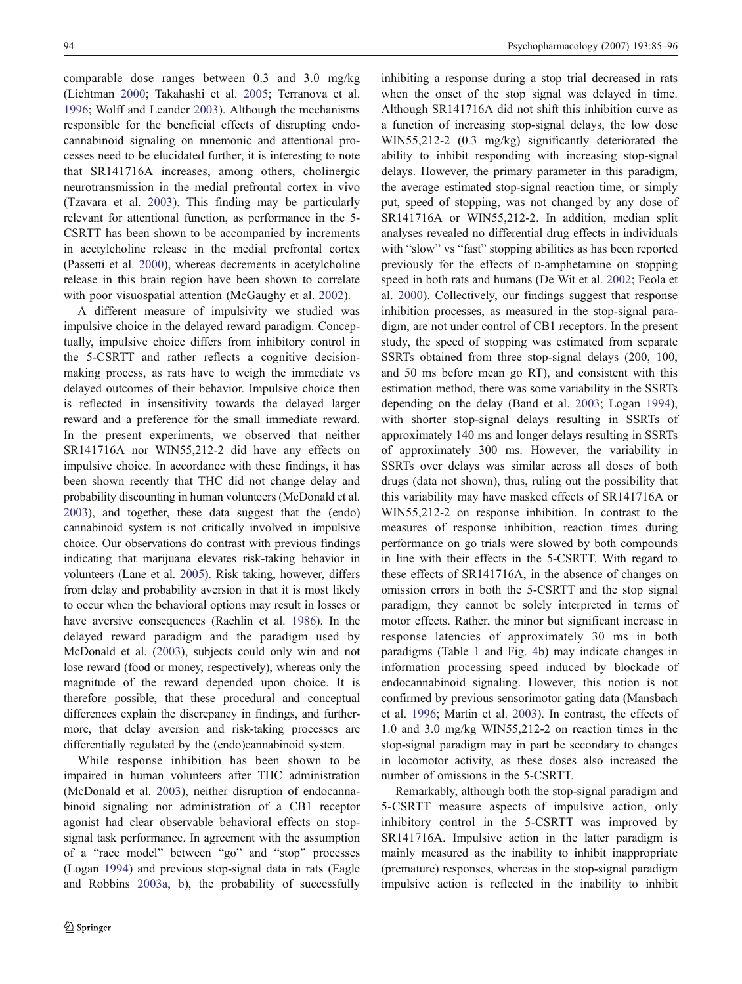comparable dose ranges between 0.3 and 3.0 mg/kg (Lichtman [2000;](#page-11-0) Takahashi et al. [2005](#page-11-0); Terranova et al. [1996;](#page-11-0) Wolff and Leander [2003\)](#page-11-0). Although the mechanisms responsible for the beneficial effects of disrupting endocannabinoid signaling on mnemonic and attentional processes need to be elucidated further, it is interesting to note that SR141716A increases, among others, cholinergic neurotransmission in the medial prefrontal cortex in vivo (Tzavara et al. [2003\)](#page-11-0). This finding may be particularly relevant for attentional function, as performance in the 5- CSRTT has been shown to be accompanied by increments in acetylcholine release in the medial prefrontal cortex (Passetti et al. [2000\)](#page-11-0), whereas decrements in acetylcholine release in this brain region have been shown to correlate with poor visuospatial attention (McGaughy et al. [2002](#page-11-0)).

A different measure of impulsivity we studied was impulsive choice in the delayed reward paradigm. Conceptually, impulsive choice differs from inhibitory control in the 5-CSRTT and rather reflects a cognitive decisionmaking process, as rats have to weigh the immediate vs delayed outcomes of their behavior. Impulsive choice then is reflected in insensitivity towards the delayed larger reward and a preference for the small immediate reward. In the present experiments, we observed that neither SR141716A nor WIN55,212-2 did have any effects on impulsive choice. In accordance with these findings, it has been shown recently that THC did not change delay and probability discounting in human volunteers (McDonald et al. [2003\)](#page-11-0), and together, these data suggest that the (endo) cannabinoid system is not critically involved in impulsive choice. Our observations do contrast with previous findings indicating that marijuana elevates risk-taking behavior in volunteers (Lane et al. [2005](#page-10-0)). Risk taking, however, differs from delay and probability aversion in that it is most likely to occur when the behavioral options may result in losses or have aversive consequences (Rachlin et al. [1986\)](#page-11-0). In the delayed reward paradigm and the paradigm used by McDonald et al. ([2003](#page-11-0)), subjects could only win and not lose reward (food or money, respectively), whereas only the magnitude of the reward depended upon choice. It is therefore possible, that these procedural and conceptual differences explain the discrepancy in findings, and furthermore, that delay aversion and risk-taking processes are differentially regulated by the (endo)cannabinoid system.

While response inhibition has been shown to be impaired in human volunteers after THC administration (McDonald et al. [2003\)](#page-11-0), neither disruption of endocannabinoid signaling nor administration of a CB1 receptor agonist had clear observable behavioral effects on stopsignal task performance. In agreement with the assumption of a "race model" between "go" and "stop" processes (Logan [1994](#page-11-0)) and previous stop-signal data in rats (Eagle and Robbins [2003a,](#page-10-0) [b](#page-10-0)), the probability of successfully

inhibiting a response during a stop trial decreased in rats when the onset of the stop signal was delayed in time. Although SR141716A did not shift this inhibition curve as a function of increasing stop-signal delays, the low dose WIN55,212-2 (0.3 mg/kg) significantly deteriorated the ability to inhibit responding with increasing stop-signal delays. However, the primary parameter in this paradigm, the average estimated stop-signal reaction time, or simply put, speed of stopping, was not changed by any dose of SR141716A or WIN55,212-2. In addition, median split analyses revealed no differential drug effects in individuals with "slow" vs "fast" stopping abilities as has been reported previously for the effects of D-amphetamine on stopping speed in both rats and humans (De Wit et al. [2002](#page-10-0); Feola et al. [2000\)](#page-10-0). Collectively, our findings suggest that response inhibition processes, as measured in the stop-signal paradigm, are not under control of CB1 receptors. In the present study, the speed of stopping was estimated from separate SSRTs obtained from three stop-signal delays (200, 100, and 50 ms before mean go RT), and consistent with this estimation method, there was some variability in the SSRTs depending on the delay (Band et al. [2003;](#page-10-0) Logan [1994\)](#page-11-0), with shorter stop-signal delays resulting in SSRTs of approximately 140 ms and longer delays resulting in SSRTs of approximately 300 ms. However, the variability in SSRTs over delays was similar across all doses of both drugs (data not shown), thus, ruling out the possibility that this variability may have masked effects of SR141716A or WIN55,212-2 on response inhibition. In contrast to the measures of response inhibition, reaction times during performance on go trials were slowed by both compounds in line with their effects in the 5-CSRTT. With regard to these effects of SR141716A, in the absence of changes on omission errors in both the 5-CSRTT and the stop signal paradigm, they cannot be solely interpreted in terms of motor effects. Rather, the minor but significant increase in response latencies of approximately 30 ms in both paradigms (Table [1](#page-5-0) and Fig. [4](#page-7-0)b) may indicate changes in information processing speed induced by blockade of endocannabinoid signaling. However, this notion is not confirmed by previous sensorimotor gating data (Mansbach et al. [1996](#page-11-0); Martin et al. [2003](#page-11-0)). In contrast, the effects of 1.0 and 3.0 mg/kg WIN55,212-2 on reaction times in the stop-signal paradigm may in part be secondary to changes in locomotor activity, as these doses also increased the number of omissions in the 5-CSRTT.

Remarkably, although both the stop-signal paradigm and 5-CSRTT measure aspects of impulsive action, only inhibitory control in the 5-CSRTT was improved by SR141716A. Impulsive action in the latter paradigm is mainly measured as the inability to inhibit inappropriate (premature) responses, whereas in the stop-signal paradigm impulsive action is reflected in the inability to inhibit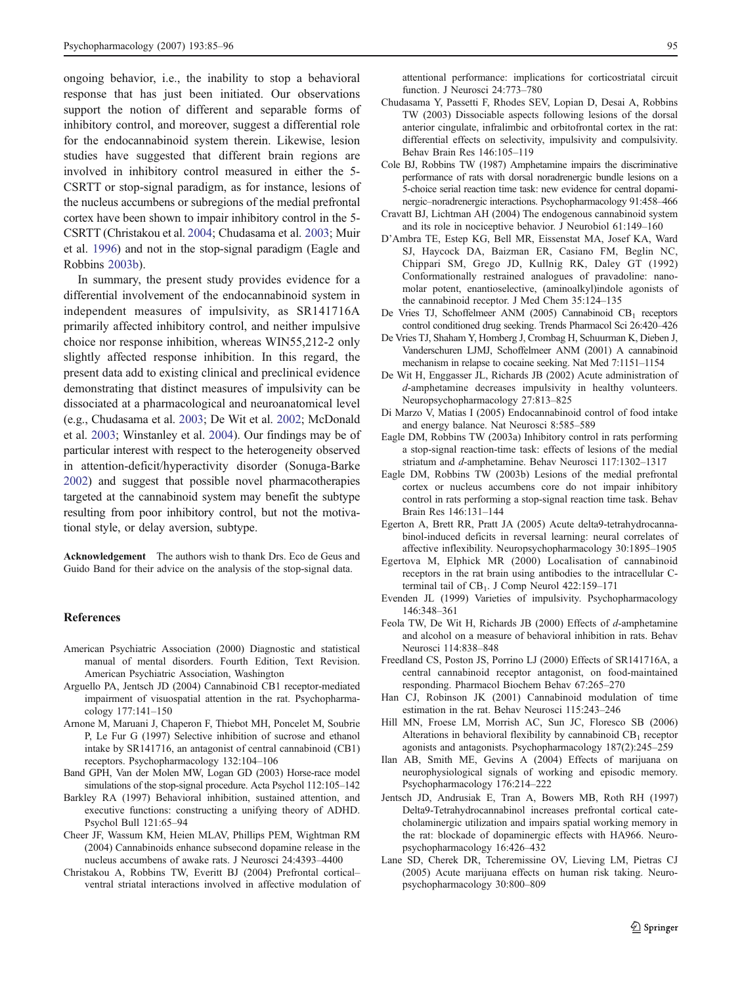<span id="page-10-0"></span>ongoing behavior, i.e., the inability to stop a behavioral response that has just been initiated. Our observations support the notion of different and separable forms of inhibitory control, and moreover, suggest a differential role for the endocannabinoid system therein. Likewise, lesion studies have suggested that different brain regions are involved in inhibitory control measured in either the 5- CSRTT or stop-signal paradigm, as for instance, lesions of the nucleus accumbens or subregions of the medial prefrontal cortex have been shown to impair inhibitory control in the 5- CSRTT (Christakou et al. 2004; Chudasama et al. 2003; Muir et al. [1996\)](#page-11-0) and not in the stop-signal paradigm (Eagle and Robbins 2003b).

In summary, the present study provides evidence for a differential involvement of the endocannabinoid system in independent measures of impulsivity, as SR141716A primarily affected inhibitory control, and neither impulsive choice nor response inhibition, whereas WIN55,212-2 only slightly affected response inhibition. In this regard, the present data add to existing clinical and preclinical evidence demonstrating that distinct measures of impulsivity can be dissociated at a pharmacological and neuroanatomical level (e.g., Chudasama et al. 2003; De Wit et al. 2002; McDonald et al. [2003;](#page-11-0) Winstanley et al. [2004](#page-11-0)). Our findings may be of particular interest with respect to the heterogeneity observed in attention-deficit/hyperactivity disorder (Sonuga-Barke [2002\)](#page-11-0) and suggest that possible novel pharmacotherapies targeted at the cannabinoid system may benefit the subtype resulting from poor inhibitory control, but not the motivational style, or delay aversion, subtype.

Acknowledgement The authors wish to thank Drs. Eco de Geus and Guido Band for their advice on the analysis of the stop-signal data.

#### References

- American Psychiatric Association (2000) Diagnostic and statistical manual of mental disorders. Fourth Edition, Text Revision. American Psychiatric Association, Washington
- Arguello PA, Jentsch JD (2004) Cannabinoid CB1 receptor-mediated impairment of visuospatial attention in the rat. Psychopharmacology 177:141–150
- Arnone M, Maruani J, Chaperon F, Thiebot MH, Poncelet M, Soubrie P, Le Fur G (1997) Selective inhibition of sucrose and ethanol intake by SR141716, an antagonist of central cannabinoid (CB1) receptors. Psychopharmacology 132:104–106
- Band GPH, Van der Molen MW, Logan GD (2003) Horse-race model simulations of the stop-signal procedure. Acta Psychol 112:105–142
- Barkley RA (1997) Behavioral inhibition, sustained attention, and executive functions: constructing a unifying theory of ADHD. Psychol Bull 121:65–94
- Cheer JF, Wassum KM, Heien MLAV, Phillips PEM, Wightman RM (2004) Cannabinoids enhance subsecond dopamine release in the nucleus accumbens of awake rats. J Neurosci 24:4393–4400
- Christakou A, Robbins TW, Everitt BJ (2004) Prefrontal cortical– ventral striatal interactions involved in affective modulation of

attentional performance: implications for corticostriatal circuit function. J Neurosci 24:773–780

- Chudasama Y, Passetti F, Rhodes SEV, Lopian D, Desai A, Robbins TW (2003) Dissociable aspects following lesions of the dorsal anterior cingulate, infralimbic and orbitofrontal cortex in the rat: differential effects on selectivity, impulsivity and compulsivity. Behav Brain Res 146:105–119
- Cole BJ, Robbins TW (1987) Amphetamine impairs the discriminative performance of rats with dorsal noradrenergic bundle lesions on a 5-choice serial reaction time task: new evidence for central dopaminergic–noradrenergic interactions. Psychopharmacology 91:458–466
- Cravatt BJ, Lichtman AH (2004) The endogenous cannabinoid system and its role in nociceptive behavior. J Neurobiol 61:149–160
- D'Ambra TE, Estep KG, Bell MR, Eissenstat MA, Josef KA, Ward SJ, Haycock DA, Baizman ER, Casiano FM, Beglin NC, Chippari SM, Grego JD, Kullnig RK, Daley GT (1992) Conformationally restrained analogues of pravadoline: nanomolar potent, enantioselective, (aminoalkyl)indole agonists of the cannabinoid receptor. J Med Chem 35:124–135
- De Vries TJ, Schoffelmeer ANM (2005) Cannabinoid  $CB_1$  receptors control conditioned drug seeking. Trends Pharmacol Sci 26:420–426
- De Vries TJ, Shaham Y, Homberg J, Crombag H, Schuurman K, Dieben J, Vanderschuren LJMJ, Schoffelmeer ANM (2001) A cannabinoid mechanism in relapse to cocaine seeking. Nat Med 7:1151–1154
- De Wit H, Enggasser JL, Richards JB (2002) Acute administration of d-amphetamine decreases impulsivity in healthy volunteers. Neuropsychopharmacology 27:813–825
- Di Marzo V, Matias I (2005) Endocannabinoid control of food intake and energy balance. Nat Neurosci 8:585–589
- Eagle DM, Robbins TW (2003a) Inhibitory control in rats performing a stop-signal reaction-time task: effects of lesions of the medial striatum and d-amphetamine. Behav Neurosci 117:1302–1317
- Eagle DM, Robbins TW (2003b) Lesions of the medial prefrontal cortex or nucleus accumbens core do not impair inhibitory control in rats performing a stop-signal reaction time task. Behav Brain Res 146:131–144
- Egerton A, Brett RR, Pratt JA (2005) Acute delta9-tetrahydrocannabinol-induced deficits in reversal learning: neural correlates of affective inflexibility. Neuropsychopharmacology 30:1895–1905
- Egertova M, Elphick MR (2000) Localisation of cannabinoid receptors in the rat brain using antibodies to the intracellular Cterminal tail of  $CB_1$ . J Comp Neurol 422:159–171
- Evenden JL (1999) Varieties of impulsivity. Psychopharmacology 146:348–361
- Feola TW, De Wit H, Richards JB (2000) Effects of d-amphetamine and alcohol on a measure of behavioral inhibition in rats. Behav Neurosci 114:838–848
- Freedland CS, Poston JS, Porrino LJ (2000) Effects of SR141716A, a central cannabinoid receptor antagonist, on food-maintained responding. Pharmacol Biochem Behav 67:265–270
- Han CJ, Robinson JK (2001) Cannabinoid modulation of time estimation in the rat. Behav Neurosci 115:243–246
- Hill MN, Froese LM, Morrish AC, Sun JC, Floresco SB (2006) Alterations in behavioral flexibility by cannabinoid  $CB<sub>1</sub>$  receptor agonists and antagonists. Psychopharmacology 187(2):245–259
- Ilan AB, Smith ME, Gevins A (2004) Effects of marijuana on neurophysiological signals of working and episodic memory. Psychopharmacology 176:214–222
- Jentsch JD, Andrusiak E, Tran A, Bowers MB, Roth RH (1997) Delta9-Tetrahydrocannabinol increases prefrontal cortical catecholaminergic utilization and impairs spatial working memory in the rat: blockade of dopaminergic effects with HA966. Neuropsychopharmacology 16:426–432
- Lane SD, Cherek DR, Tcheremissine OV, Lieving LM, Pietras CJ (2005) Acute marijuana effects on human risk taking. Neuropsychopharmacology 30:800–809